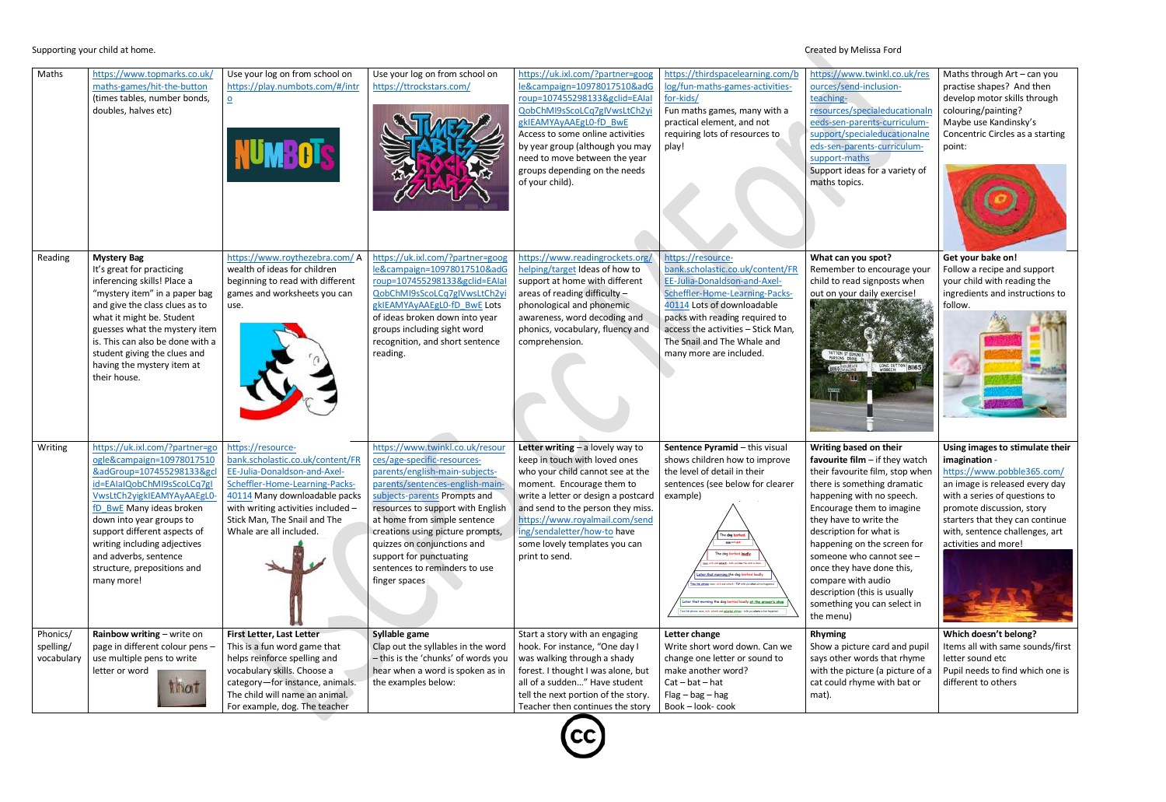Concentric Circles as a starting

# Supporting your child at home. Created by Melissa Ford

| Maths                               | https://www.topmarks.co.uk/<br>maths-games/hit-the-button<br>(times tables, number bonds,<br>doubles, halves etc)                                                                                                                                                                                                                                  | Use your log on from school on<br>https://play.numbots.com/#/intr<br>$\overline{\mathbf{o}}$<br><b>NUMBOTS</b>                                                                                                                                            | Use your log on from school on<br>https://ttrockstars.com/                                                                                                                                                                                                                                                                                                                               | https://uk.ixl.com/?partner=goog<br>le&campaign=10978017510&adG<br>roup=107455298133&gclid=EAIaI<br>QobChMI9sScoLCq7gIVwsLtCh2yi<br>gkIEAMYAyAAEgLO-fD BwE<br>Access to some online activities<br>by year group (although you may<br>need to move between the year<br>groups depending on the needs<br>of your child).               | https://thirdspacelearning.com/b<br>log/fun-maths-games-activities-<br>for-kids/<br>Fun maths games, many with a<br>practical element, and not<br>requiring lots of resources to<br>play!                                                                                                                                                                                                                                                                                                                                                    |
|-------------------------------------|----------------------------------------------------------------------------------------------------------------------------------------------------------------------------------------------------------------------------------------------------------------------------------------------------------------------------------------------------|-----------------------------------------------------------------------------------------------------------------------------------------------------------------------------------------------------------------------------------------------------------|------------------------------------------------------------------------------------------------------------------------------------------------------------------------------------------------------------------------------------------------------------------------------------------------------------------------------------------------------------------------------------------|--------------------------------------------------------------------------------------------------------------------------------------------------------------------------------------------------------------------------------------------------------------------------------------------------------------------------------------|----------------------------------------------------------------------------------------------------------------------------------------------------------------------------------------------------------------------------------------------------------------------------------------------------------------------------------------------------------------------------------------------------------------------------------------------------------------------------------------------------------------------------------------------|
| Reading                             | <b>Mystery Bag</b><br>It's great for practicing<br>inferencing skills! Place a<br>"mystery item" in a paper bag<br>and give the class clues as to<br>what it might be. Student<br>guesses what the mystery item<br>is. This can also be done with a<br>student giving the clues and<br>having the mystery item at<br>their house.                  | https://www.roythezebra.com/A<br>wealth of ideas for children<br>beginning to read with different<br>games and worksheets you can<br>use.                                                                                                                 | https://uk.ixl.com/?partner=goog<br>le&campaign=10978017510&adG<br>roup=107455298133&gclid=EAIaI<br>QobChMI9sScoLCq7gIVwsLtCh2yi<br>gkIEAMYAyAAEgL0-fD_BwE Lots<br>of ideas broken down into year<br>groups including sight word<br>recognition, and short sentence<br>reading.                                                                                                          | https://www.readingrockets.org/<br>helping/target Ideas of how to<br>support at home with different<br>areas of reading difficulty $-$<br>phonological and phonemic<br>awareness, word decoding and<br>phonics, vocabulary, fluency and<br>comprehension.                                                                            | https://resource-<br>bank.scholastic.co.uk/content/FR<br>EE-Julia-Donaldson-and-Axel-<br>Scheffler-Home-Learning-Packs-<br>40114 Lots of downloadable<br>packs with reading required to<br>access the activities - Stick Man,<br>The Snail and The Whale and<br>many more are included.                                                                                                                                                                                                                                                      |
| Writing                             | https://uk.ixl.com/?partner=go<br>ogle&campaign=10978017510<br>&adGroup=107455298133&gcl<br>id=EAIaIQobChMI9sScoLCq7gI<br>VwsLtCh2yigkIEAMYAyAAEgL0-<br>fD_BwE Many ideas broken<br>down into year groups to<br>support different aspects of<br>writing including adjectives<br>and adverbs, sentence<br>structure, prepositions and<br>many more! | https://resource-<br>bank.scholastic.co.uk/content/FR<br>EE-Julia-Donaldson-and-Axel-<br>Scheffler-Home-Learning-Packs-<br>40114 Many downloadable packs<br>with writing activities included -<br>Stick Man, The Snail and The<br>Whale are all included. | https://www.twinkl.co.uk/resour<br>ces/age-specific-resources-<br>parents/english-main-subjects-<br>parents/sentences-english-main-<br>subjects-parents Prompts and<br>resources to support with English<br>at home from simple sentence<br>creations using picture prompts,<br>quizzes on conjunctions and<br>support for punctuating<br>sentences to reminders to use<br>finger spaces | Letter writing $-$ a lovely way to<br>keep in touch with loved ones<br>who your child cannot see at the<br>moment. Encourage them to<br>write a letter or design a postcard<br>and send to the person they miss.<br>https://www.royalmail.com/send<br>ing/sendaletter/how-to have<br>some lovely templates you can<br>print to send. | Sentence Pyramid - this visual<br>shows children how to improve<br>the level of detail in their<br>sentences (see below for clearer<br>example)<br>ie <mark>dog barke</mark><br>neun and verb<br>The dog barked loudly<br>verb and adverb - tells you how the verb is done<br>ater that morning the dog barked loudl<br>link phraze, noun, verb and adverb - TLP tells you when action<br>ater that morning the dog barked loudly at the grocer's sh<br>link phrase, noun, verb, adverb and galvarbal, phrase - tells you where action happe |
| Phonics/<br>spelling/<br>vocabulary | Rainbow writing - write on<br>page in different colour pens -<br>use multiple pens to write<br>letter or word<br>that                                                                                                                                                                                                                              | First Letter, Last Letter<br>This is a fun word game that<br>helps reinforce spelling and<br>vocabulary skills. Choose a<br>category-for instance, animals.<br>The child will name an animal.<br>For example, dog. The teacher                            | Syllable game<br>Clap out the syllables in the word<br>- this is the 'chunks' of words you<br>hear when a word is spoken as in<br>the examples below:                                                                                                                                                                                                                                    | Start a story with an engaging<br>hook. For instance, "One day I<br>was walking through a shady<br>forest. I thought I was alone, but<br>all of a sudden" Have student<br>tell the next portion of the story.<br>Teacher then continues the story                                                                                    | Letter change<br>Write short word down. Can we<br>change one letter or sound to<br>make another word?<br>$Cat - bat - hat$<br>$Flag - bag - hag$<br>Book - look- cook                                                                                                                                                                                                                                                                                                                                                                        |



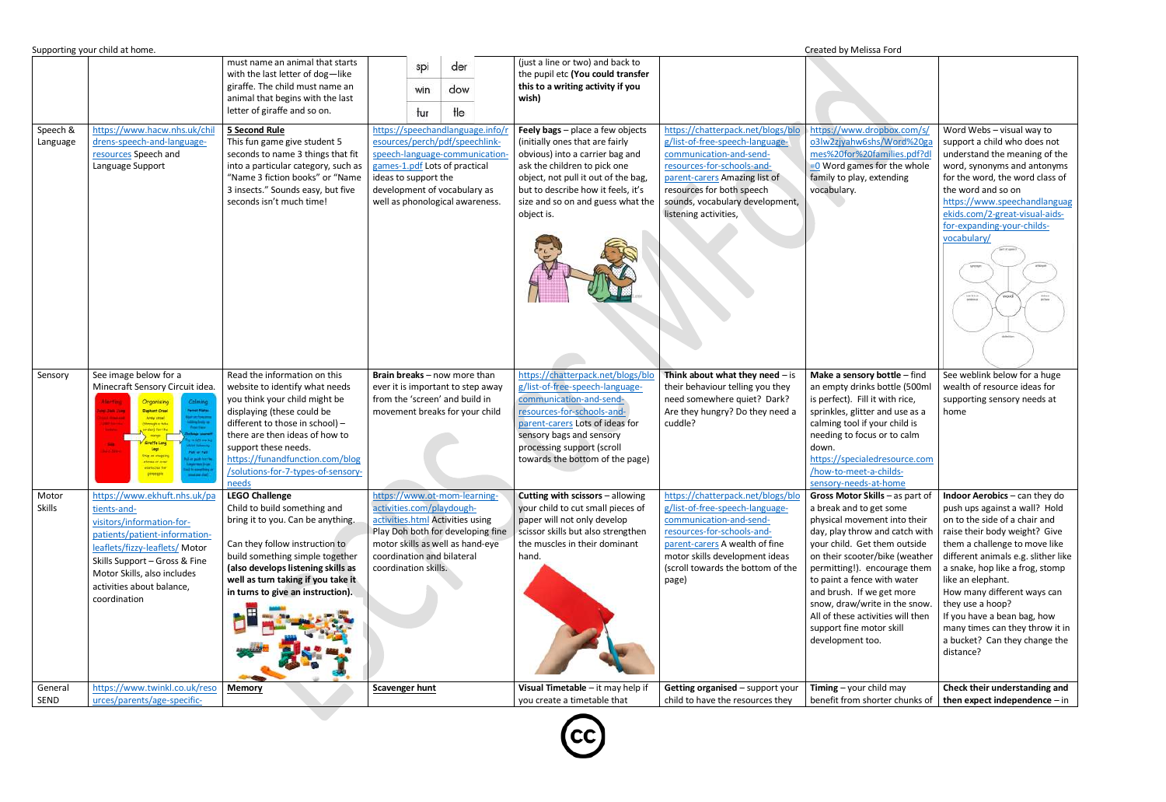|                      | Supporting your child at home.                                                                                                                                                                                                                           |                                                                                                                                                                                                                                                                                                              |                                                                                                                                                                                                                                 |                                                                                                                                                                                                      |                                                                                                                                                                                                                                                                        |                                                                                                                                                                                                                                                         | Created by Melissa Ford                                                                                                                                                                                                                                                                                                                                                                                          |                                                                                                                                                                                                                                                                                                                                                                                                                                              |
|----------------------|----------------------------------------------------------------------------------------------------------------------------------------------------------------------------------------------------------------------------------------------------------|--------------------------------------------------------------------------------------------------------------------------------------------------------------------------------------------------------------------------------------------------------------------------------------------------------------|---------------------------------------------------------------------------------------------------------------------------------------------------------------------------------------------------------------------------------|------------------------------------------------------------------------------------------------------------------------------------------------------------------------------------------------------|------------------------------------------------------------------------------------------------------------------------------------------------------------------------------------------------------------------------------------------------------------------------|---------------------------------------------------------------------------------------------------------------------------------------------------------------------------------------------------------------------------------------------------------|------------------------------------------------------------------------------------------------------------------------------------------------------------------------------------------------------------------------------------------------------------------------------------------------------------------------------------------------------------------------------------------------------------------|----------------------------------------------------------------------------------------------------------------------------------------------------------------------------------------------------------------------------------------------------------------------------------------------------------------------------------------------------------------------------------------------------------------------------------------------|
|                      |                                                                                                                                                                                                                                                          | must name an animal that starts<br>with the last letter of dog-like<br>giraffe. The child must name an<br>animal that begins with the last<br>letter of giraffe and so on.                                                                                                                                   | spi<br>win<br>tur                                                                                                                                                                                                               | der<br>dow<br>Ħе                                                                                                                                                                                     | (just a line or two) and back to<br>the pupil etc (You could transfer<br>this to a writing activity if you<br>wish)                                                                                                                                                    |                                                                                                                                                                                                                                                         |                                                                                                                                                                                                                                                                                                                                                                                                                  |                                                                                                                                                                                                                                                                                                                                                                                                                                              |
| Speech &<br>Language | https://www.hacw.nhs.uk/chil<br>drens-speech-and-language-<br>resources Speech and<br>Language Support                                                                                                                                                   | <b>5 Second Rule</b><br>This fun game give student 5<br>seconds to name 3 things that fit<br>into a particular category, such as<br>"Name 3 fiction books" or "Name<br>3 insects." Sounds easy, but five<br>seconds isn't much time!                                                                         | https://speechandlanguage.info/<br>esources/perch/pdf/speechlink-<br>speech-language-communication-<br>games-1.pdf Lots of practical<br>ideas to support the<br>development of vocabulary as<br>well as phonological awareness. |                                                                                                                                                                                                      | Feely bags - place a few objects<br>(initially ones that are fairly<br>obvious) into a carrier bag and<br>ask the children to pick one<br>object, not pull it out of the bag,<br>but to describe how it feels, it's<br>size and so on and guess what the<br>object is. | https://chatterpack.net/blogs/blo<br>g/list-of-free-speech-language-<br>communication-and-send-<br>resources-for-schools-and-<br>parent-carers Amazing list of<br>resources for both speech<br>sounds, vocabulary development,<br>listening activities, | https://www.dropbox.com/s/<br>o3lw2zjyahw6shs/Word%20ga<br>mes%20for%20families.pdf?dl<br>$= 0$ Word games for the whole<br>family to play, extending<br>vocabulary.                                                                                                                                                                                                                                             | Word Webs - visual way to<br>support a child who does not<br>understand the meaning of the<br>word, synonyms and antonyms<br>for the word, the word class of<br>the word and so on<br>https://www.speechandlanguag<br>ekids.com/2-great-visual-aids-<br>for-expanding-your-childs-<br>vocabulary/<br>basid in an<br>personnel<br>$\frac{\text{data}}{\text{pcore}}$                                                                          |
| Sensory              | See image below for a<br>Minecraft Sensory Circuit idea.<br>Calmina<br>Organising<br><b>Dispharit Creat</b><br><b>WIND FOREST</b><br>Army crowl<br>(Himsel) at fals<br><b>Publicat Patt</b><br>Stap on steppin<br>stessing aver<br>staticies fo          | Read the information on this<br>website to identify what needs<br>you think your child might be<br>displaying (these could be<br>different to those in school) -<br>there are then ideas of how to<br>support these needs.<br>https://funandfunction.com/blog<br>/solutions-for-7-types-of-sensory-<br>needs |                                                                                                                                                                                                                                 | Brain breaks - now more than<br>ever it is important to step away<br>from the 'screen' and build in<br>movement breaks for your child                                                                | https://chatterpack.net/blogs/blo<br>g/list-of-free-speech-language-<br>communication-and-send-<br>resources-for-schools-and-<br>parent-carers Lots of ideas for<br>sensory bags and sensory<br>processing support (scroll<br>towards the bottom of the page)          | Think about what they need $-$ is<br>their behaviour telling you they<br>need somewhere quiet? Dark?<br>Are they hungry? Do they need a<br>cuddle?                                                                                                      | Make a sensory bottle $-$ find<br>an empty drinks bottle (500ml<br>is perfect). Fill it with rice,<br>sprinkles, glitter and use as a<br>calming tool if your child is<br>needing to focus or to calm<br>down.<br>https://specialedresource.com<br>/how-to-meet-a-childs-<br>sensory-needs-at-home                                                                                                               | See weblink below for a huge<br>wealth of resource ideas for<br>supporting sensory needs at<br>home                                                                                                                                                                                                                                                                                                                                          |
| Motor<br>Skills      | https://www.ekhuft.nhs.uk/pa<br>tients-and-<br>visitors/information-for-<br>patients/patient-information-<br>leaflets/fizzy-leaflets/ Motor<br>Skills Support - Gross & Fine<br>Motor Skills, also includes<br>activities about balance,<br>coordination | <b>LEGO Challenge</b><br>Child to build something and<br>bring it to you. Can be anything.<br>Can they follow instruction to<br>build something simple together<br>(also develops listening skills as<br>well as turn taking if you take it<br>in turns to give an instruction).                             | coordination skills.                                                                                                                                                                                                            | https://www.ot-mom-learning-<br>activities.com/playdough-<br>activities.html Activities using<br>Play Doh both for developing fine<br>motor skills as well as hand-eye<br>coordination and bilateral | Cutting with scissors - allowing<br>your child to cut small pieces of<br>paper will not only develop<br>scissor skills but also strengthen<br>the muscles in their dominant<br>hand.                                                                                   | https://chatterpack.net/blogs/blo<br>g/list-of-free-speech-language-<br>communication-and-send-<br>resources-for-schools-and-<br>parent-carers A wealth of fine<br>motor skills development ideas<br>(scroll towards the bottom of the<br>page)         | Gross Motor Skills - as part of<br>a break and to get some<br>physical movement into their<br>day, play throw and catch with<br>your child. Get them outside<br>on their scooter/bike (weather<br>permitting!). encourage them<br>to paint a fence with water<br>and brush. If we get more<br>snow, draw/write in the snow.<br>All of these activities will then<br>support fine motor skill<br>development too. | <b>Indoor Aerobics</b> $-$ can they do<br>push ups against a wall? Hold<br>on to the side of a chair and<br>raise their body weight? Give<br>them a challenge to move like<br>different animals e.g. slither like<br>a snake, hop like a frog, stomp<br>like an elephant.<br>How many different ways can<br>they use a hoop?<br>If you have a bean bag, how<br>many times can they throw it in<br>a bucket? Can they change the<br>distance? |
| General<br>SEND      | https://www.twinkl.co.uk/reso<br>urces/parents/age-specific-                                                                                                                                                                                             | <b>Memory</b>                                                                                                                                                                                                                                                                                                | <b>Scavenger hunt</b>                                                                                                                                                                                                           |                                                                                                                                                                                                      | Visual Timetable - it may help if<br>you create a timetable that                                                                                                                                                                                                       | Getting organised - support your<br>child to have the resources they                                                                                                                                                                                    | <b>Timing</b> – your child may<br>benefit from shorter chunks of                                                                                                                                                                                                                                                                                                                                                 | Check their understanding and<br>then expect independence $-$ in                                                                                                                                                                                                                                                                                                                                                                             |
|                      |                                                                                                                                                                                                                                                          |                                                                                                                                                                                                                                                                                                              |                                                                                                                                                                                                                                 |                                                                                                                                                                                                      |                                                                                                                                                                                                                                                                        |                                                                                                                                                                                                                                                         |                                                                                                                                                                                                                                                                                                                                                                                                                  |                                                                                                                                                                                                                                                                                                                                                                                                                                              |

 $\left(\mathrm{cc}\right)$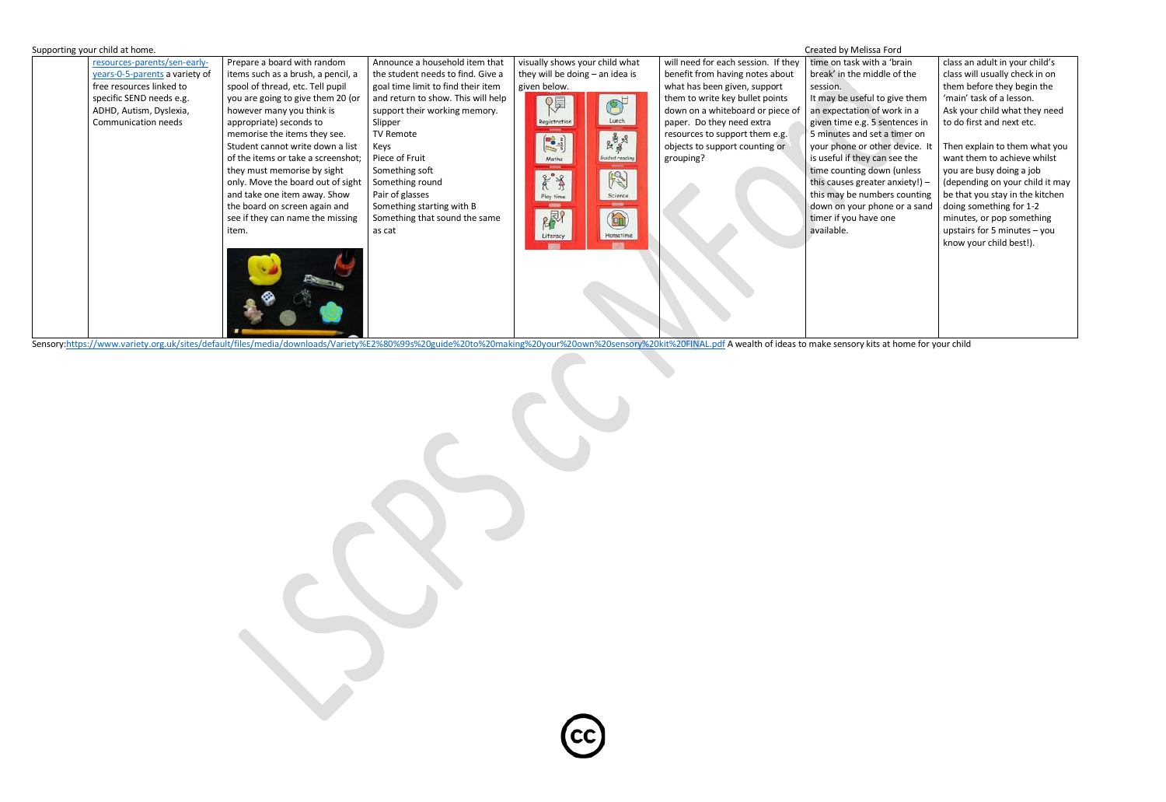

Sensory[:https://www.variety.org.uk/sites/default/files/media/downloads/Variety%E2%80%99s%20guide%20to%20making%20your%20own%20sensory%20kit%20FINAL.pdf](https://www.variety.org.uk/sites/default/files/media/downloads/Variety%E2%80%99s%20guide%20to%20making%20your%20own%20sensory%20kit%20FINAL.pdf) A wealth of ideas to make sensory kits at home for your child

| time on task with a 'brain        | class an adult in your child's  |
|-----------------------------------|---------------------------------|
| break' in the middle of the       | class will usually check in on  |
| session.                          | them before they begin the      |
| It may be useful to give them     | 'main' task of a lesson.        |
| an expectation of work in a       | Ask your child what they need   |
| given time e.g. 5 sentences in    | to do first and next etc.       |
| 5 minutes and set a timer on      |                                 |
| your phone or other device. It    | Then explain to them what you   |
| is useful if they can see the     | want them to achieve whilst     |
| time counting down (unless        | you are busy doing a job        |
| this causes greater anxiety!) $-$ | (depending on your child it may |
| this may be numbers counting      | be that you stay in the kitchen |
| down on your phone or a sand      | doing something for 1-2         |
| timer if you have one             | minutes, or pop something       |
| available.                        | upstairs for 5 minutes $-$ you  |
|                                   | know your child best!).         |
|                                   |                                 |
|                                   |                                 |
|                                   |                                 |
|                                   |                                 |
|                                   |                                 |
|                                   |                                 |
|                                   |                                 |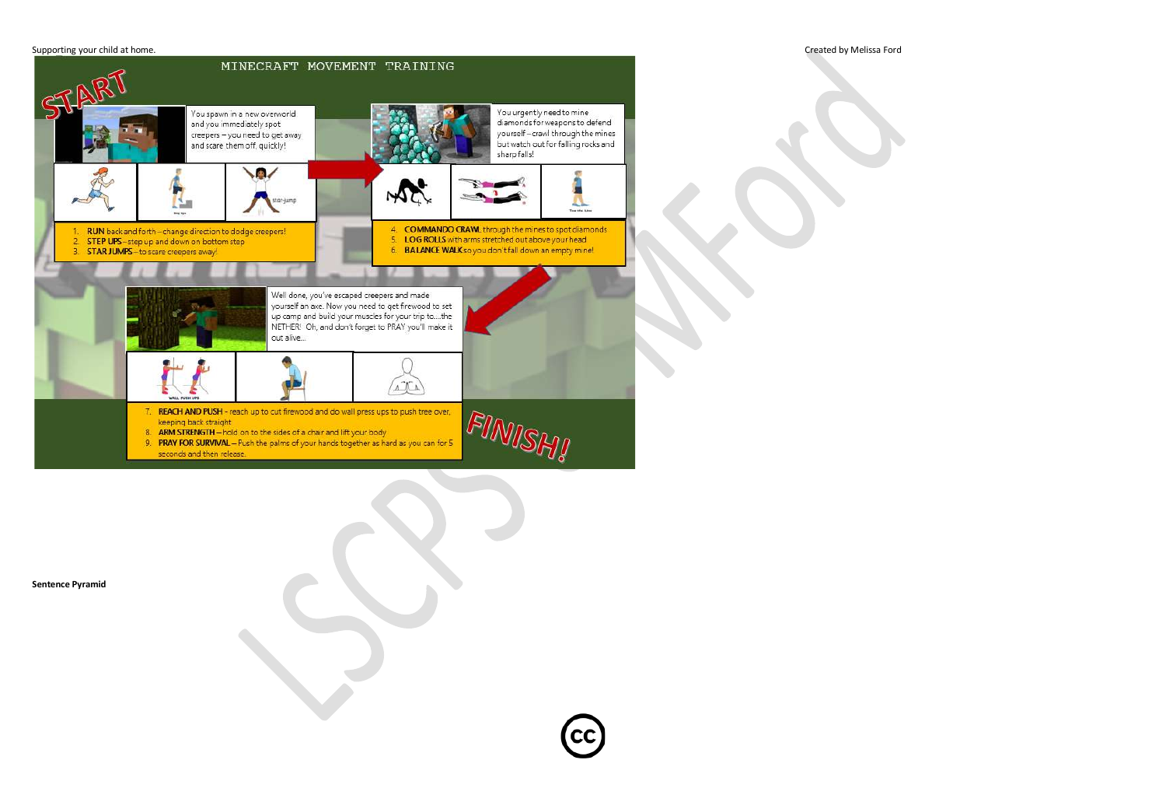## Supporting your child at home. Created by Melissa Ford



**Sentence Pyramid**